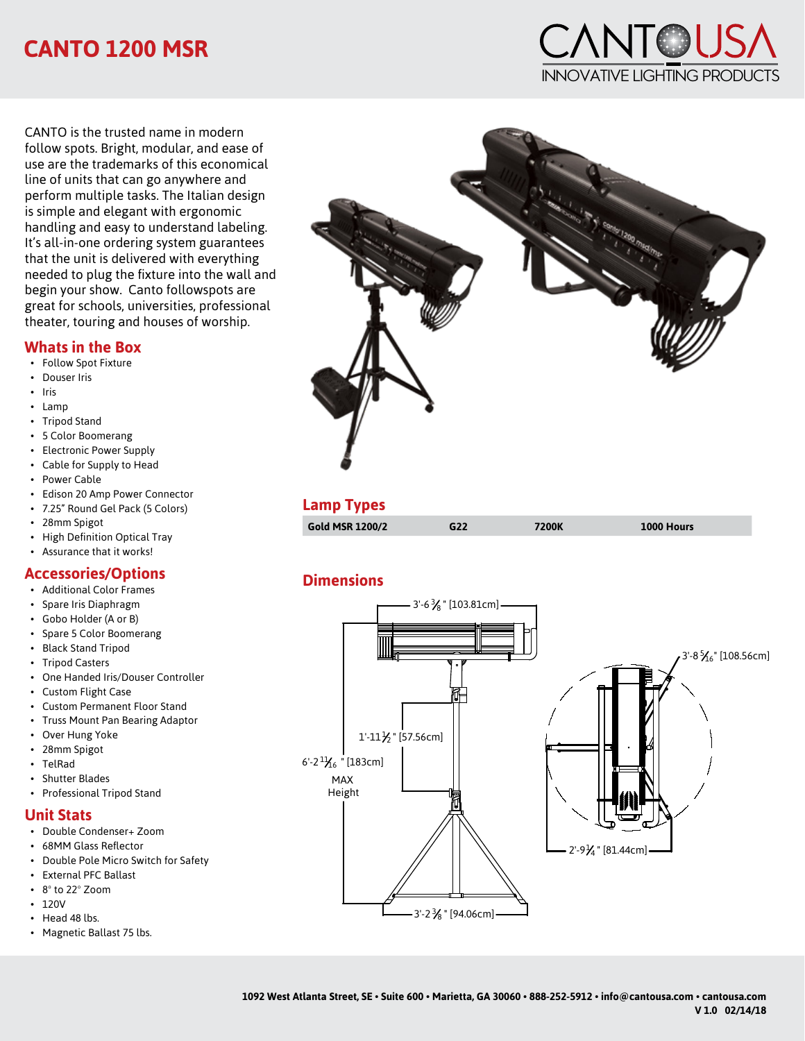# **CANTO 1200 MSR**

**ANTOUS** Innovative Lighting Products

CANTO is the trusted name in modern follow spots. Bright, modular, and ease of use are the trademarks of this economical line of units that can go anywhere and perform multiple tasks. The Italian design is simple and elegant with ergonomic handling and easy to understand labeling. It's all-in-one ordering system guarantees that the unit is delivered with everything needed to plug the fixture into the wall and begin your show. Canto followspots are great for schools, universities, professional theater, touring and houses of worship.

#### **Whats in the Box**

- Follow Spot Fixture
- Douser Iris
- Iris
- Lamp
- Tripod Stand
- 5 Color Boomerang
- Electronic Power Supply
- Cable for Supply to Head
- Power Cable
- Edison 20 Amp Power Connector
- 7.25" Round Gel Pack (5 Colors)
- 28mm Spigot
- High Definition Optical Tray
- Assurance that it works!

### **Accessories/Options**

- Additional Color Frames
- Spare Iris Diaphragm
- Gobo Holder (A or B)
- Spare 5 Color Boomerang
- Black Stand Tripod
- Tripod Casters
- One Handed Iris/Douser Controller
- Custom Flight Case
- Custom Permanent Floor Stand
- Truss Mount Pan Bearing Adaptor
- Over Hung Yoke
- 28mm Spigot
- TelRad
- Shutter Blades
- Professional Tripod Stand

### **Unit Stats**

- Double Condenser+ Zoom
- 68MM Glass Reflector
- Double Pole Micro Switch for Safety
- External PFC Ballast
- 8º to 22º Zoom
- 120V
- Head 48 lbs.
- Magnetic Ballast 75 lbs.



#### **Lamp Types**

| Gold MSR 1200/2 | G22 | 7200K | 1000 Hours |  |
|-----------------|-----|-------|------------|--|
|                 |     |       |            |  |

### **Dimensions**